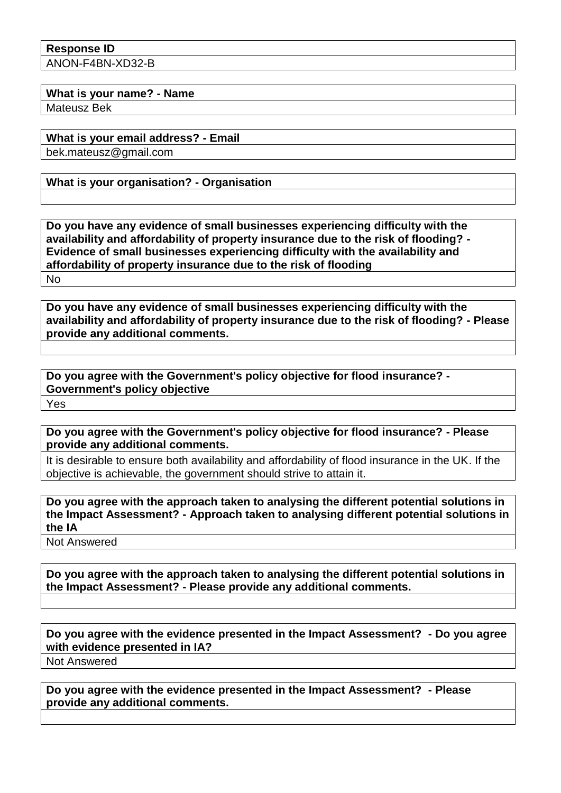**Response ID** ANON-F4BN-XD32-B

**What is your name? - Name**

Mateusz Bek

**What is your email address? - Email**

bek.mateusz@gmail.com

**What is your organisation? - Organisation**

**Do you have any evidence of small businesses experiencing difficulty with the availability and affordability of property insurance due to the risk of flooding? - Evidence of small businesses experiencing difficulty with the availability and affordability of property insurance due to the risk of flooding** No

**Do you have any evidence of small businesses experiencing difficulty with the availability and affordability of property insurance due to the risk of flooding? - Please provide any additional comments.**

**Do you agree with the Government's policy objective for flood insurance? - Government's policy objective** Yes

**Do you agree with the Government's policy objective for flood insurance? - Please provide any additional comments.**

It is desirable to ensure both availability and affordability of flood insurance in the UK. If the objective is achievable, the government should strive to attain it.

**Do you agree with the approach taken to analysing the different potential solutions in the Impact Assessment? - Approach taken to analysing different potential solutions in the IA**

Not Answered

**Do you agree with the approach taken to analysing the different potential solutions in the Impact Assessment? - Please provide any additional comments.**

**Do you agree with the evidence presented in the Impact Assessment? - Do you agree with evidence presented in IA?**

Not Answered

**Do you agree with the evidence presented in the Impact Assessment? - Please provide any additional comments.**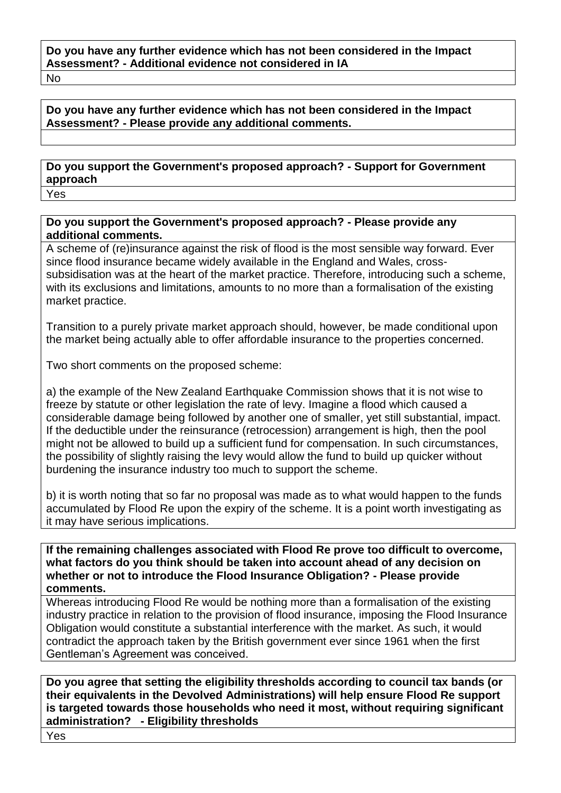No

## **Do you have any further evidence which has not been considered in the Impact Assessment? - Please provide any additional comments.**

## **Do you support the Government's proposed approach? - Support for Government approach**

Yes

## **Do you support the Government's proposed approach? - Please provide any additional comments.**

A scheme of (re)insurance against the risk of flood is the most sensible way forward. Ever since flood insurance became widely available in the England and Wales, crosssubsidisation was at the heart of the market practice. Therefore, introducing such a scheme, with its exclusions and limitations, amounts to no more than a formalisation of the existing market practice.

Transition to a purely private market approach should, however, be made conditional upon the market being actually able to offer affordable insurance to the properties concerned.

Two short comments on the proposed scheme:

a) the example of the New Zealand Earthquake Commission shows that it is not wise to freeze by statute or other legislation the rate of levy. Imagine a flood which caused a considerable damage being followed by another one of smaller, yet still substantial, impact. If the deductible under the reinsurance (retrocession) arrangement is high, then the pool might not be allowed to build up a sufficient fund for compensation. In such circumstances, the possibility of slightly raising the levy would allow the fund to build up quicker without burdening the insurance industry too much to support the scheme.

b) it is worth noting that so far no proposal was made as to what would happen to the funds accumulated by Flood Re upon the expiry of the scheme. It is a point worth investigating as it may have serious implications.

**If the remaining challenges associated with Flood Re prove too difficult to overcome, what factors do you think should be taken into account ahead of any decision on whether or not to introduce the Flood Insurance Obligation? - Please provide comments.**

Whereas introducing Flood Re would be nothing more than a formalisation of the existing industry practice in relation to the provision of flood insurance, imposing the Flood Insurance Obligation would constitute a substantial interference with the market. As such, it would contradict the approach taken by the British government ever since 1961 when the first Gentleman's Agreement was conceived.

**Do you agree that setting the eligibility thresholds according to council tax bands (or their equivalents in the Devolved Administrations) will help ensure Flood Re support is targeted towards those households who need it most, without requiring significant administration? - Eligibility thresholds**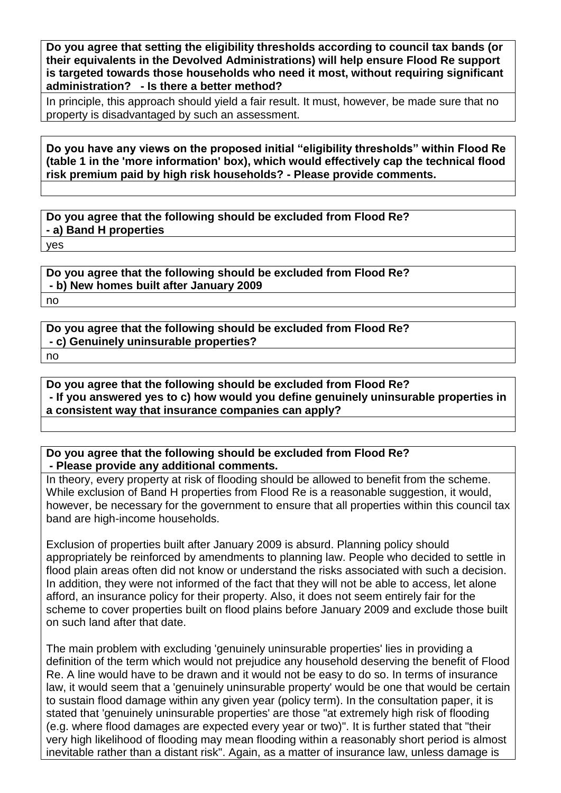**Do you agree that setting the eligibility thresholds according to council tax bands (or their equivalents in the Devolved Administrations) will help ensure Flood Re support is targeted towards those households who need it most, without requiring significant administration? - Is there a better method?**

In principle, this approach should yield a fair result. It must, however, be made sure that no property is disadvantaged by such an assessment.

**Do you have any views on the proposed initial "eligibility thresholds" within Flood Re (table 1 in the 'more information' box), which would effectively cap the technical flood risk premium paid by high risk households? - Please provide comments.**

**Do you agree that the following should be excluded from Flood Re? - a) Band H properties**

yes

**Do you agree that the following should be excluded from Flood Re? - b) New homes built after January 2009** no

**Do you agree that the following should be excluded from Flood Re? - c) Genuinely uninsurable properties?** no

**Do you agree that the following should be excluded from Flood Re? - If you answered yes to c) how would you define genuinely uninsurable properties in a consistent way that insurance companies can apply?**

**Do you agree that the following should be excluded from Flood Re? - Please provide any additional comments.**

In theory, every property at risk of flooding should be allowed to benefit from the scheme. While exclusion of Band H properties from Flood Re is a reasonable suggestion, it would, however, be necessary for the government to ensure that all properties within this council tax band are high-income households.

Exclusion of properties built after January 2009 is absurd. Planning policy should appropriately be reinforced by amendments to planning law. People who decided to settle in flood plain areas often did not know or understand the risks associated with such a decision. In addition, they were not informed of the fact that they will not be able to access, let alone afford, an insurance policy for their property. Also, it does not seem entirely fair for the scheme to cover properties built on flood plains before January 2009 and exclude those built on such land after that date.

The main problem with excluding 'genuinely uninsurable properties' lies in providing a definition of the term which would not prejudice any household deserving the benefit of Flood Re. A line would have to be drawn and it would not be easy to do so. In terms of insurance law, it would seem that a 'genuinely uninsurable property' would be one that would be certain to sustain flood damage within any given year (policy term). In the consultation paper, it is stated that 'genuinely uninsurable properties' are those "at extremely high risk of flooding (e.g. where flood damages are expected every year or two)". It is further stated that "their very high likelihood of flooding may mean flooding within a reasonably short period is almost inevitable rather than a distant risk". Again, as a matter of insurance law, unless damage is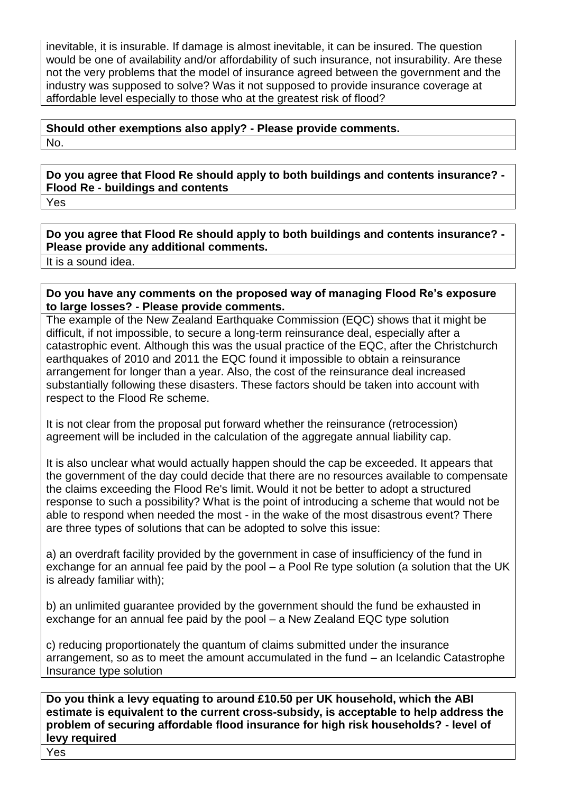inevitable, it is insurable. If damage is almost inevitable, it can be insured. The question would be one of availability and/or affordability of such insurance, not insurability. Are these not the very problems that the model of insurance agreed between the government and the industry was supposed to solve? Was it not supposed to provide insurance coverage at affordable level especially to those who at the greatest risk of flood?

## **Should other exemptions also apply? - Please provide comments.** No.

**Do you agree that Flood Re should apply to both buildings and contents insurance? - Flood Re - buildings and contents**

Yes

**Do you agree that Flood Re should apply to both buildings and contents insurance? - Please provide any additional comments.**

It is a sound idea.

**Do you have any comments on the proposed way of managing Flood Re's exposure to large losses? - Please provide comments.**

The example of the New Zealand Earthquake Commission (EQC) shows that it might be difficult, if not impossible, to secure a long-term reinsurance deal, especially after a catastrophic event. Although this was the usual practice of the EQC, after the Christchurch earthquakes of 2010 and 2011 the EQC found it impossible to obtain a reinsurance arrangement for longer than a year. Also, the cost of the reinsurance deal increased substantially following these disasters. These factors should be taken into account with respect to the Flood Re scheme.

It is not clear from the proposal put forward whether the reinsurance (retrocession) agreement will be included in the calculation of the aggregate annual liability cap.

It is also unclear what would actually happen should the cap be exceeded. It appears that the government of the day could decide that there are no resources available to compensate the claims exceeding the Flood Re's limit. Would it not be better to adopt a structured response to such a possibility? What is the point of introducing a scheme that would not be able to respond when needed the most - in the wake of the most disastrous event? There are three types of solutions that can be adopted to solve this issue:

a) an overdraft facility provided by the government in case of insufficiency of the fund in exchange for an annual fee paid by the pool – a Pool Re type solution (a solution that the UK is already familiar with);

b) an unlimited guarantee provided by the government should the fund be exhausted in exchange for an annual fee paid by the pool – a New Zealand EQC type solution

c) reducing proportionately the quantum of claims submitted under the insurance arrangement, so as to meet the amount accumulated in the fund – an Icelandic Catastrophe Insurance type solution

**Do you think a levy equating to around £10.50 per UK household, which the ABI estimate is equivalent to the current cross-subsidy, is acceptable to help address the problem of securing affordable flood insurance for high risk households? - level of levy required**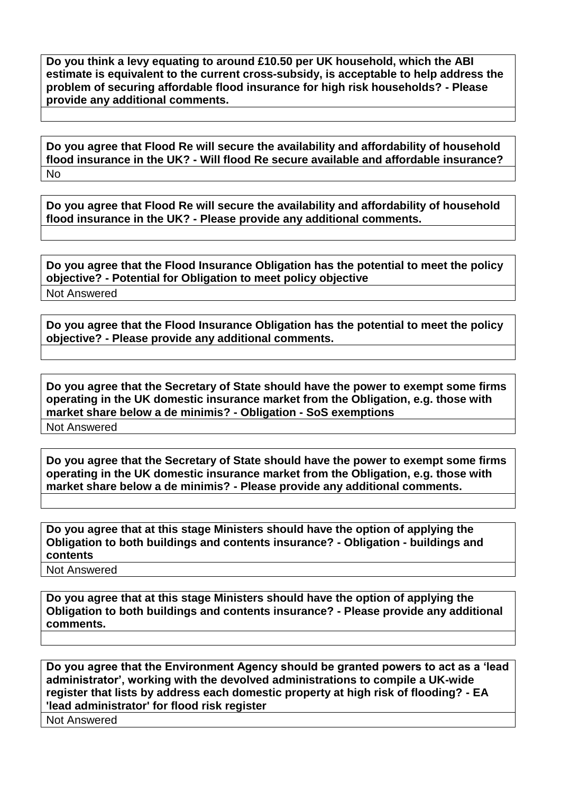**Do you think a levy equating to around £10.50 per UK household, which the ABI estimate is equivalent to the current cross-subsidy, is acceptable to help address the problem of securing affordable flood insurance for high risk households? - Please provide any additional comments.**

**Do you agree that Flood Re will secure the availability and affordability of household flood insurance in the UK? - Will flood Re secure available and affordable insurance?** No

**Do you agree that Flood Re will secure the availability and affordability of household flood insurance in the UK? - Please provide any additional comments.**

**Do you agree that the Flood Insurance Obligation has the potential to meet the policy objective? - Potential for Obligation to meet policy objective** Not Answered

**Do you agree that the Flood Insurance Obligation has the potential to meet the policy objective? - Please provide any additional comments.**

**Do you agree that the Secretary of State should have the power to exempt some firms operating in the UK domestic insurance market from the Obligation, e.g. those with market share below a de minimis? - Obligation - SoS exemptions** Not Answered

**Do you agree that the Secretary of State should have the power to exempt some firms operating in the UK domestic insurance market from the Obligation, e.g. those with market share below a de minimis? - Please provide any additional comments.**

**Do you agree that at this stage Ministers should have the option of applying the Obligation to both buildings and contents insurance? - Obligation - buildings and contents**

Not Answered

**Do you agree that at this stage Ministers should have the option of applying the Obligation to both buildings and contents insurance? - Please provide any additional comments.**

**Do you agree that the Environment Agency should be granted powers to act as a 'lead administrator', working with the devolved administrations to compile a UK-wide register that lists by address each domestic property at high risk of flooding? - EA 'lead administrator' for flood risk register**

Not Answered